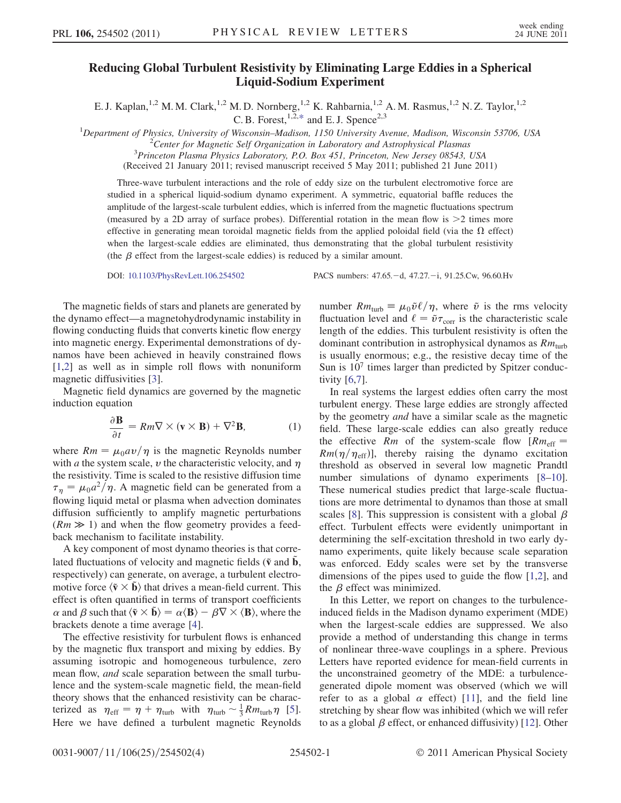## Reducing Global Turbulent Resistivity by Eliminating Large Eddies in a Spherical Liquid-Sodium Experiment

E. J. Kaplan,<sup>1,2</sup> M. M. Clark,<sup>1,2</sup> M. D. Nornberg,<sup>1,2</sup> K. Rahbarnia,<sup>1,2</sup> A. M. Rasmus,<sup>1,2</sup> N. Z. Taylor,<sup>1,2</sup> C. B. Forest,  $1,\overline{2},*$  $1,\overline{2},*$  and E. J. Spence<sup>2,3</sup>

<span id="page-0-0"></span><sup>1</sup>Department of Physics, University of Wisconsin–Madison, 1150 University Avenue, Madison, Wisconsin 53706, USA  $^{2}$ Contex for Magnetic Self Organization in Laboratory and Astrophysical Plasmas

<sup>2</sup> Center for Magnetic Self Organization in Laboratory and Astrophysical Plasmas

 $3$ Princeton Plasma Physics Laboratory, P.O. Box 451, Princeton, New Jersey 08543, USA

(Received 21 January 2011; revised manuscript received 5 May 2011; published 21 June 2011)

Three-wave turbulent interactions and the role of eddy size on the turbulent electromotive force are studied in a spherical liquid-sodium dynamo experiment. A symmetric, equatorial baffle reduces the amplitude of the largest-scale turbulent eddies, which is inferred from the magnetic fluctuations spectrum (measured by a 2D array of surface probes). Differential rotation in the mean flow is  $\geq 2$  times more effective in generating mean toroidal magnetic fields from the applied poloidal field (via the  $\Omega$  effect) when the largest-scale eddies are eliminated, thus demonstrating that the global turbulent resistivity (the  $\beta$  effect from the largest-scale eddies) is reduced by a similar amount.

DOI: [10.1103/PhysRevLett.106.254502](http://dx.doi.org/10.1103/PhysRevLett.106.254502) PACS numbers: 47.65. -d, 47.27. -i, 91.25.Cw, 96.60.Hv

The magnetic fields of stars and planets are generated by the dynamo effect—a magnetohydrodynamic instability in flowing conducting fluids that converts kinetic flow energy into magnetic energy. Experimental demonstrations of dynamos have been achieved in heavily constrained flows [\[1,](#page-3-1)[2](#page-3-2)] as well as in simple roll flows with nonuniform magnetic diffusivities [[3\]](#page-3-3).

Magnetic field dynamics are governed by the magnetic induction equation

$$
\frac{\partial \mathbf{B}}{\partial t} = Rm \nabla \times (\mathbf{v} \times \mathbf{B}) + \nabla^2 \mathbf{B},
$$
 (1)

where  $Rm = \mu_0 a v / \eta$  is the magnetic Reynolds number with *a* the system scale, *v* the characteristic velocity, and  $\eta$ the resistivity. Time is scaled to the resistive diffusion time  $\tau_{\eta} = \mu_0 a^2 / \eta$ . A magnetic field can be generated from a flowing liquid metal or plasma when advection dominates diffusion sufficiently to amplify magnetic perturbations  $(Rm \gg 1)$  and when the flow geometry provides a feedback mechanism to facilitate instability.

A key component of most dynamo theories is that correlated fluctuations of velocity and magnetic fields ( $\tilde{v}$  and  $\tilde{b}$ , respectively) can generate, on average, a turbulent electromotive force  $\langle \tilde{v} \times \tilde{b} \rangle$  that drives a mean-field current. This effect is often quantified in terms of transport coefficients  $\alpha$  and  $\beta$  such that  $\langle \tilde{\mathbf{v}} \times \tilde{\mathbf{b}} \rangle = \alpha \langle \mathbf{B} \rangle - \beta \nabla \times \langle \mathbf{B} \rangle$ , where the brackets denote a time average [\[4\]](#page-3-4).

The effective resistivity for turbulent flows is enhanced by the magnetic flux transport and mixing by eddies. By assuming isotropic and homogeneous turbulence, zero mean flow, *and* scale separation between the small turbulence and the system-scale magnetic field, the mean-field theory shows that the enhanced resistivity can be characterized as  $\eta_{\text{eff}} = \eta + \eta_{\text{turb}}$  with  $\eta_{\text{turb}} \sim \frac{1}{3} R m_{\text{turb}} \eta$  [[5\]](#page-3-5). Here we have defined a turbulent magnetic Reynolds

number  $Rm_{\text{turb}} \equiv \mu_0 \tilde{v} \ell / \eta$ , where  $\tilde{v}$  is the rms velocity fluctuation level and  $\ell = \tilde{v}\tau_{\text{corr}}$  is the characteristic scale length of the eddies. This turbulent resistivity is often the dominant contribution in astrophysical dynamos as  $Rm<sub>turb</sub>$ is usually enormous; e.g., the resistive decay time of the Sun is  $10<sup>7</sup>$  times larger than predicted by Spitzer conductivity [[6](#page-3-6)[,7\]](#page-3-7).

In real systems the largest eddies often carry the most turbulent energy. These large eddies are strongly affected by the geometry and have a similar scale as the magnetic field. These large-scale eddies can also greatly reduce the effective Rm of the system-scale flow  $[Rm<sub>eff</sub>]$  $Rm(\eta/\eta_{\text{eff}})$ ], thereby raising the dynamo excitation threshold as observed in several low magnetic Prandtl number simulations of dynamo experiments [\[8](#page-3-8)–[10\]](#page-3-9). These numerical studies predict that large-scale fluctuations are more detrimental to dynamos than those at small scales [[8](#page-3-8)]. This suppression is consistent with a global  $\beta$ effect. Turbulent effects were evidently unimportant in determining the self-excitation threshold in two early dynamo experiments, quite likely because scale separation was enforced. Eddy scales were set by the transverse dimensions of the pipes used to guide the flow [\[1,](#page-3-1)[2](#page-3-2)], and the  $\beta$  effect was minimized.

In this Letter, we report on changes to the turbulenceinduced fields in the Madison dynamo experiment (MDE) when the largest-scale eddies are suppressed. We also provide a method of understanding this change in terms of nonlinear three-wave couplings in a sphere. Previous Letters have reported evidence for mean-field currents in the unconstrained geometry of the MDE: a turbulencegenerated dipole moment was observed (which we will refer to as a global  $\alpha$  effect) [\[11](#page-3-10)], and the field line stretching by shear flow was inhibited (which we will refer to as a global  $\beta$  effect, or enhanced diffusivity) [\[12\]](#page-3-11). Other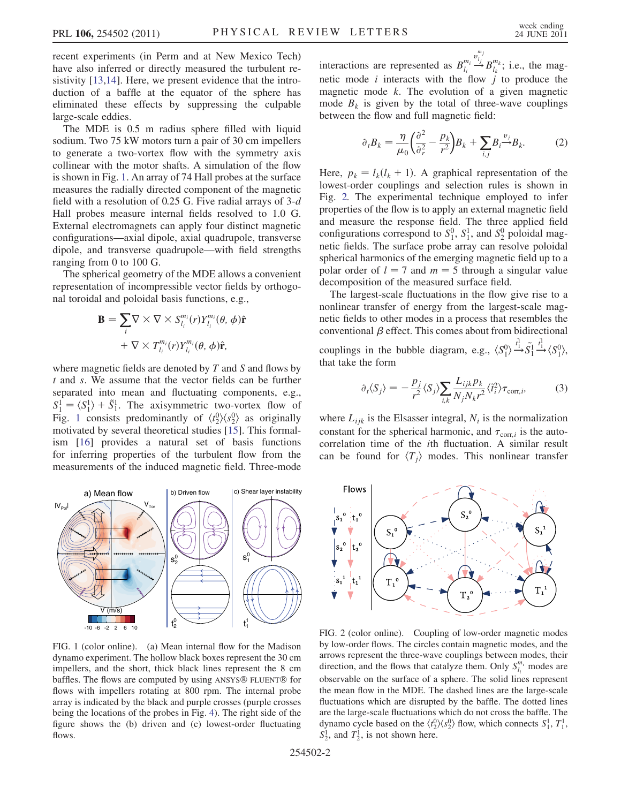recent experiments (in Perm and at New Mexico Tech) have also inferred or directly measured the turbulent resistivity [[13,](#page-3-12)[14\]](#page-3-13). Here, we present evidence that the introduction of a baffle at the equator of the sphere has eliminated these effects by suppressing the culpable large-scale eddies.

The MDE is 0.5 m radius sphere filled with liquid sodium. Two 75 kW motors turn a pair of 30 cm impellers to generate a two-vortex flow with the symmetry axis collinear with the motor shafts. A simulation of the flow is shown in Fig. [1.](#page-1-0) An array of 74 Hall probes at the surface measures the radially directed component of the magnetic field with a resolution of 0.25 G. Five radial arrays of  $3-d$ Hall probes measure internal fields resolved to 1.0 G. External electromagnets can apply four distinct magnetic configurations—axial dipole, axial quadrupole, transverse dipole, and transverse quadrupole—with field strengths ranging from 0 to 100 G.

The spherical geometry of the MDE allows a convenient representation of incompressible vector fields by orthogonal toroidal and poloidal basis functions, e.g.,

$$
\mathbf{B} = \sum_{i} \nabla \times \nabla \times S_{l_i}^{m_i}(r) Y_{l_i}^{m_i}(\theta, \phi) \hat{\mathbf{r}}
$$

$$
+ \nabla \times T_{l_i}^{m_i}(r) Y_{l_i}^{m_i}(\theta, \phi) \hat{\mathbf{r}},
$$

where magnetic fields are denoted by  $T$  and  $S$  and flows by t and s. We assume that the vector fields can be further separated into mean and fluctuating components, e.g.,  $S_1^1 = \langle S_1^1 \rangle + \tilde{S}_1^1$ . The axisymmetric two-vortex flow of Fig. [1](#page-1-0) consists predominantly of  $\langle t_2^0 \rangle \langle s_2^0 \rangle$  as originally motivated by several theoretical studies [[15](#page-3-14)]. This formalism [\[16\]](#page-3-15) provides a natural set of basis functions for inferring properties of the turbulent flow from the measurements of the induced magnetic field. Three-mode

<span id="page-1-0"></span>

FIG. 1 (color online). (a) Mean internal flow for the Madison dynamo experiment. The hollow black boxes represent the 30 cm impellers, and the short, thick black lines represent the 8 cm baffles. The flows are computed by using ANSYS® FLUENT® for flows with impellers rotating at 800 rpm. The internal probe array is indicated by the black and purple crosses (purple crosses being the locations of the probes in Fig. [4](#page-3-16)). The right side of the figure shows the (b) driven and (c) lowest-order fluctuating flows.

interactions are represented as  $B_{l_i}^{m_i} \stackrel{v_{l_i}}{\rightarrow}$  $\stackrel{v_{l_j}^{m_j}}{\rightarrow} B_{l_k}^{m_k}$ ; i.e., the magnetic mode  $i$  interacts with the flow  $j$  to produce the magnetic mode  $k$ . The evolution of a given magnetic mode  $B_k$  is given by the total of three-wave couplings between the flow and full magnetic field:

$$
\partial_t B_k = \frac{\eta}{\mu_0} \left( \frac{\partial^2}{\partial_r^2} - \frac{p_k}{r^2} \right) B_k + \sum_{i,j} B_i \stackrel{v_j}{\rightarrow} B_k. \tag{2}
$$

Here,  $p_k = l_k(l_k + 1)$ . A graphical representation of the lowest-order couplings and selection rules is shown in Fig. [2.](#page-1-1) The experimental technique employed to infer properties of the flow is to apply an external magnetic field and measure the response field. The three applied field configurations correspond to  $S_1^0$ ,  $S_1^1$ , and  $S_2^0$  poloidal magnetic fields. The surface probe array can resolve poloidal spherical harmonics of the emerging magnetic field up to a polar order of  $l = 7$  and  $m = 5$  through a singular value decomposition of the measured surface field.

The largest-scale fluctuations in the flow give rise to a nonlinear transfer of energy from the largest-scale magnetic fields to other modes in a process that resembles the conventional  $\beta$  effect. This comes about from bidirectional couplings in the bubble diagram, e.g.,  $\langle S_1^0 \rangle \xrightarrow{t_1}$  $\overrightarrow{t_1}$ ,  $\overrightarrow{S_1}$ ,  $\overrightarrow{t_1}$  $\stackrel{\tilde{t}_1^1}{\longrightarrow} \langle S_1^0 \rangle,$ that take the form

$$
\partial_t \langle S_j \rangle = -\frac{p_j}{r^2} \langle S_j \rangle \sum_{i,k} \frac{L_{ijk} p_k}{N_j N_k r^2} \langle \tilde{t}_i^2 \rangle \tau_{\text{corr},i}, \tag{3}
$$

where  $L_{ijk}$  is the Elsasser integral,  $N_i$  is the normalization constant for the spherical harmonic, and  $\tau_{\text{corr},i}$  is the autocorrelation time of the ith fluctuation. A similar result can be found for  $\langle T_i \rangle$  modes. This nonlinear transfer

<span id="page-1-1"></span>

FIG. 2 (color online). Coupling of low-order magnetic modes by low-order flows. The circles contain magnetic modes, and the arrows represent the three-wave couplings between modes, their direction, and the flows that catalyze them. Only  $S_{l_i}^{m_i}$  modes are observable on the surface of a sphere. The solid lines represent the mean flow in the MDE. The dashed lines are the large-scale fluctuations which are disrupted by the baffle. The dotted lines are the large-scale fluctuations which do not cross the baffle. The dynamo cycle based on the  $\langle t_2^0 \rangle \langle s_2^0 \rangle$  flow, which connects  $S_1^1$ ,  $T_1^1$ ,  $S_2^1$ , and  $T_2^1$ , is not shown here.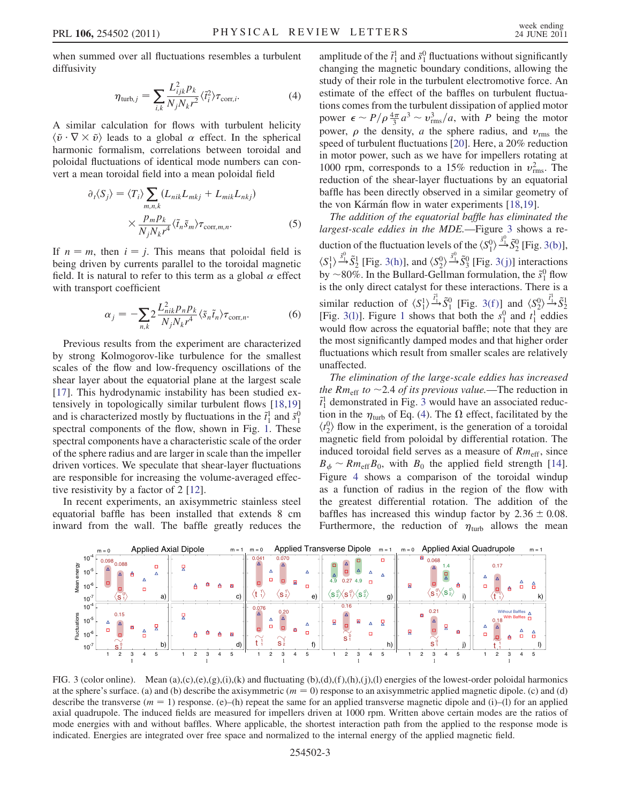<span id="page-2-2"></span>when summed over all fluctuations resembles a turbulent diffusivity

$$
\eta_{\text{turb},j} = \sum_{i,k} \frac{L_{ijk}^2 p_k}{N_j N_k r^2} \langle \tilde{t}_i^2 \rangle \tau_{\text{corr},i}.
$$
 (4)

A similar calculation for flows with turbulent helicity  $\langle \tilde{v} \cdot \nabla \times \tilde{v} \rangle$  leads to a global  $\alpha$  effect. In the spherical harmonic formalism, correlations between toroidal and poloidal fluctuations of identical mode numbers can convert a mean toroidal field into a mean poloidal field

$$
\partial_t \langle S_j \rangle = \langle T_i \rangle \sum_{m,n,k} (L_{nik} L_{mkj} + L_{mik} L_{nkj})
$$

$$
\times \frac{p_m p_k}{N_i N_k r^4} \langle \tilde{t}_n \tilde{s}_m \rangle \tau_{\text{corr},m,n}.
$$
 (5)

<span id="page-2-3"></span>If  $n = m$ , then  $i = j$ . This means that poloidal field is being driven by currents parallel to the toroidal magnetic field. It is natural to refer to this term as a global  $\alpha$  effect with transport coefficient

$$
\alpha_j = -\sum_{n,k} 2 \frac{L_{nik}^2 p_n p_k}{N_j N_k r^4} \langle \tilde{s}_n \tilde{t}_n \rangle \tau_{\text{corr},n}.
$$
 (6)

Previous results from the experiment are characterized by strong Kolmogorov-like turbulence for the smallest scales of the flow and low-frequency oscillations of the shear layer about the equatorial plane at the largest scale [\[17\]](#page-3-17). This hydrodynamic instability has been studied extensively in topologically similar turbulent flows [\[18,](#page-3-18)[19\]](#page-3-19) and is characterized mostly by fluctuations in the  $\tilde{t}_1^1$  and  $\tilde{s}_1^0$ spectral components of the flow, shown in Fig. [1](#page-1-0). These spectral components have a characteristic scale of the order of the sphere radius and are larger in scale than the impeller driven vortices. We speculate that shear-layer fluctuations are responsible for increasing the volume-averaged effective resistivity by a factor of 2 [[12](#page-3-11)].

In recent experiments, an axisymmetric stainless steel equatorial baffle has been installed that extends 8 cm inward from the wall. The baffle greatly reduces the

amplitude of the  $\tilde{t}_1^1$  and  $\tilde{s}_1^0$  fluctuations without significantly changing the magnetic boundary conditions, allowing the study of their role in the turbulent electromotive force. An estimate of the effect of the baffles on turbulent fluctuations comes from the turbulent dissipation of applied motor power  $\epsilon \sim P/\rho \frac{4\pi}{3} a^3 \sim v_{\text{rms}}^3/a$ , with P being the motor power,  $\rho$  the density, a the sphere radius, and  $v_{\rm rms}$  the speed of turbulent fluctuations [\[20\]](#page-3-20). Here, a 20% reduction in motor power, such as we have for impellers rotating at 1000 rpm, corresponds to a 15% reduction in  $v_{\text{rms}}^2$ . The reduction of the shear-layer fluctuations by an equatorial baffle has been directly observed in a similar geometry of the von Kármán flow in water experiments [[18](#page-3-18),[19](#page-3-19)].

The addition of the equatorial baffle has eliminated the largest-scale eddies in the MDE.—Figure [3](#page-2-0) shows a reduction of the fluctuation levels of the  $\langle S_1^0 \rangle \frac{\bar{s}_1^0}{2} \tilde{S}_2^0$  [Fig. [3\(b\)\]](#page-2-1),  $\langle S_1^1 \rangle \stackrel{\tilde{s}_1^0}{\longrightarrow} \tilde{S}_2^1$  [Fig. [3\(h\)](#page-2-1)], and  $\langle S_2^0 \rangle \stackrel{\tilde{s}_1^0}{\longrightarrow} \tilde{S}_3^0$  [Fig. [3\(j\)\]](#page-2-1) interactions by ~80%. In the Bullard-Gellman formulation, the  $\tilde{s}_1^0$  flow is the only direct catalyst for these interactions. There is a similar reduction of  $\langle S_1^1 \rangle \stackrel{\tilde{t}_1^1}{\longrightarrow} \tilde{S}_1^0$  [Fig. 3(f)] and  $\langle S_2^0 \rangle \stackrel{\tilde{t}_1^1}{\longrightarrow} \tilde{S}_2^1$ [Fig. 3([1](#page-1-0))]. Figure 1 shows that both the  $s_1^0$  and  $t_1^1$  eddies would flow across the equatorial baffle; note that they are the most significantly damped modes and that higher order fluctuations which result from smaller scales are relatively unaffected.

The elimination of the large-scale eddies has increased the Rm<sub>eff</sub> to  $\sim$ 2.4 of its previous value.—The reduction in  $\tilde{t}_1^1$  demonstrated in Fig. [3](#page-2-0) would have an associated reduction in the  $\eta_{\text{turb}}$  of Eq. ([4](#page-2-2)). The  $\Omega$  effect, facilitated by the  $\langle t_2^0 \rangle$  flow in the experiment, is the generation of a toroidal magnetic field from poloidal by differential rotation. The induced toroidal field serves as a measure of  $Rm_{\text{eff}}$ , since  $B_{\phi} \sim Rm_{\text{eff}}B_0$ , with  $B_0$  the applied field strength [[14\]](#page-3-13). Figure [4](#page-3-16) shows a comparison of the toroidal windup as a function of radius in the region of the flow with the greatest differential rotation. The addition of the baffles has increased this windup factor by  $2.36 \pm 0.08$ . Furthermore, the reduction of  $\eta_{\text{turb}}$  allows the mean

<span id="page-2-0"></span>

<span id="page-2-1"></span>FIG. 3 (color online). Mean (a),(c),(e),(g),(i),(k) and fluctuating  $(b)$ ,(d),(f),(h),(j),(l) energies of the lowest-order poloidal harmonics at the sphere's surface. (a) and (b) describe the axisymmetric  $(m = 0)$  response to an axisymmetric applied magnetic dipole. (c) and (d) describe the transverse  $(m = 1)$  response. (e)–(h) repeat the same for an applied transverse magnetic dipole and (i)–(l) for an applied axial quadrupole. The induced fields are measured for impellers driven at 1000 rpm. Written above certain modes are the ratios of mode energies with and without baffles. Where applicable, the shortest interaction path from the applied to the response mode is indicated. Energies are integrated over free space and normalized to the internal energy of the applied magnetic field.